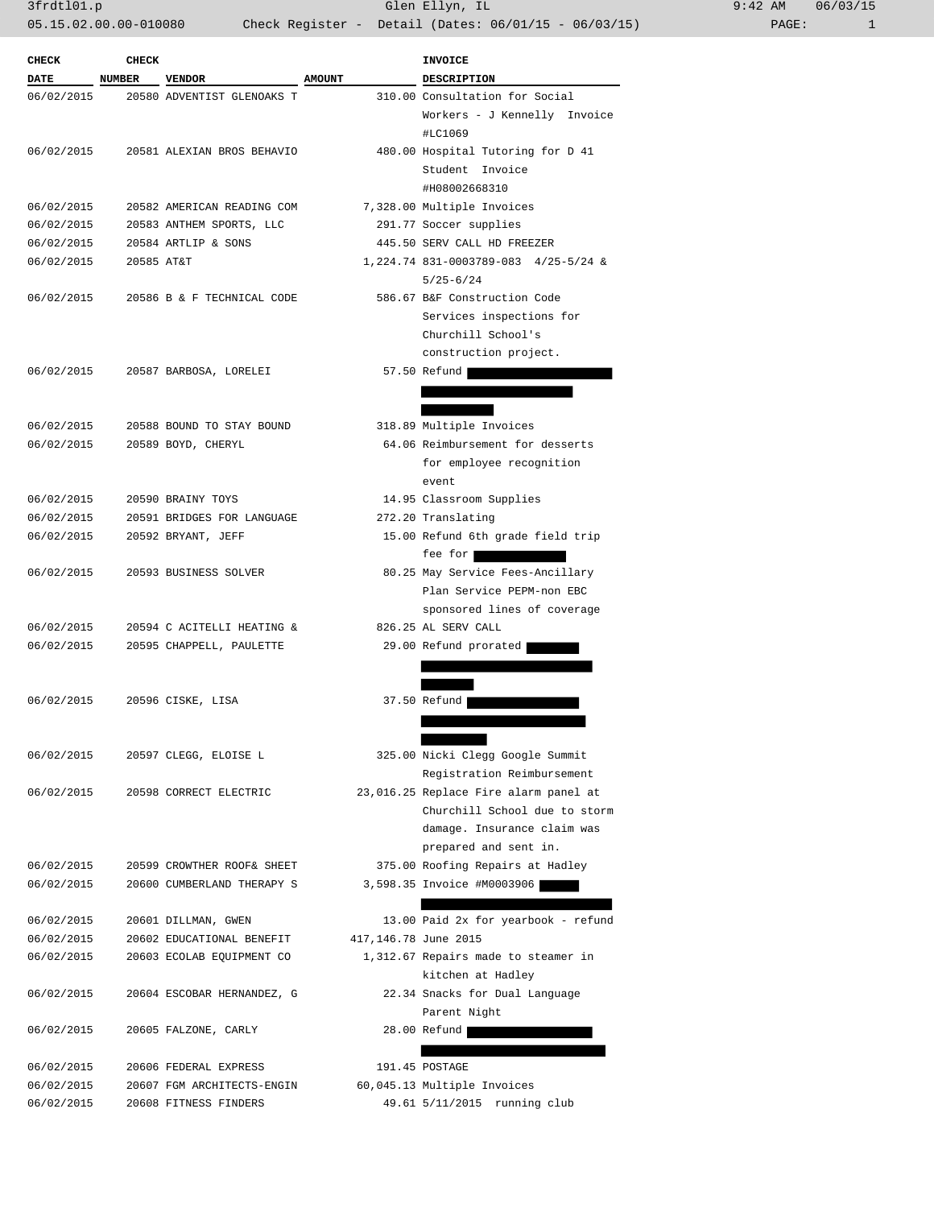| ):42 AM |       | 06/03/15 |
|---------|-------|----------|
|         | PAGE: |          |

| <b>CHECK</b> | CHECK         |                            |                      | <b>INVOICE</b>                                           |
|--------------|---------------|----------------------------|----------------------|----------------------------------------------------------|
| <b>DATE</b>  | <b>NUMBER</b> | <b>VENDOR</b>              | <b>AMOUNT</b>        | <b>DESCRIPTION</b>                                       |
| 06/02/2015   |               | 20580 ADVENTIST GLENOAKS T |                      | 310.00 Consultation for Social                           |
|              |               |                            |                      | Workers - J Kennelly Invoice                             |
|              |               |                            |                      | #LC1069                                                  |
| 06/02/2015   |               | 20581 ALEXIAN BROS BEHAVIO |                      | 480.00 Hospital Tutoring for D 41                        |
|              |               |                            |                      | Student Invoice                                          |
|              |               |                            |                      | #H08002668310                                            |
| 06/02/2015   |               | 20582 AMERICAN READING COM |                      | 7,328.00 Multiple Invoices                               |
| 06/02/2015   |               | 20583 ANTHEM SPORTS, LLC   |                      | 291.77 Soccer supplies                                   |
| 06/02/2015   |               | 20584 ARTLIP & SONS        |                      | 445.50 SERV CALL HD FREEZER                              |
| 06/02/2015   | 20585 AT&T    |                            |                      | 1,224.74 831-0003789-083 4/25-5/24 &                     |
|              |               |                            |                      | $5/25 - 6/24$                                            |
| 06/02/2015   |               | 20586 B & F TECHNICAL CODE |                      | 586.67 B&F Construction Code                             |
|              |               |                            |                      | Services inspections for                                 |
|              |               |                            |                      | Churchill School's                                       |
|              |               |                            |                      | construction project.                                    |
| 06/02/2015   |               | 20587 BARBOSA, LORELEI     |                      | 57.50 Refund                                             |
|              |               |                            |                      |                                                          |
|              |               |                            |                      |                                                          |
| 06/02/2015   |               | 20588 BOUND TO STAY BOUND  |                      | 318.89 Multiple Invoices                                 |
| 06/02/2015   |               | 20589 BOYD, CHERYL         |                      | 64.06 Reimbursement for desserts                         |
|              |               |                            |                      | for employee recognition                                 |
|              |               |                            |                      | event                                                    |
| 06/02/2015   |               | 20590 BRAINY TOYS          |                      | 14.95 Classroom Supplies                                 |
| 06/02/2015   |               | 20591 BRIDGES FOR LANGUAGE |                      | 272.20 Translating                                       |
| 06/02/2015   |               | 20592 BRYANT, JEFF         |                      | 15.00 Refund 6th grade field trip                        |
|              |               |                            |                      | fee for                                                  |
| 06/02/2015   |               | 20593 BUSINESS SOLVER      |                      | 80.25 May Service Fees-Ancillary                         |
|              |               |                            |                      | Plan Service PEPM-non EBC                                |
|              |               |                            |                      | sponsored lines of coverage                              |
| 06/02/2015   |               | 20594 C ACITELLI HEATING & |                      | 826.25 AL SERV CALL                                      |
| 06/02/2015   |               | 20595 CHAPPELL, PAULETTE   |                      | 29.00 Refund prorated                                    |
|              |               |                            |                      |                                                          |
|              |               |                            |                      |                                                          |
| 06/02/2015   |               | 20596 CISKE, LISA          |                      | 37.50 Refund                                             |
|              |               |                            |                      |                                                          |
|              |               |                            |                      |                                                          |
| 06/02/2015   |               | 20597 CLEGG, ELOISE L      |                      | 325.00 Nicki Clegg Google Summit                         |
|              |               |                            |                      | Registration Reimbursement                               |
| 06/02/2015   |               | 20598 CORRECT ELECTRIC     |                      | 23,016.25 Replace Fire alarm panel at                    |
|              |               |                            |                      | Churchill School due to storm                            |
|              |               |                            |                      | damage. Insurance claim was                              |
|              |               |                            |                      | prepared and sent in.                                    |
| 06/02/2015   |               | 20599 CROWTHER ROOF& SHEET |                      | 375.00 Roofing Repairs at Hadley                         |
| 06/02/2015   |               | 20600 CUMBERLAND THERAPY S |                      | 3,598.35 Invoice #M0003906                               |
|              |               | 20601 DILLMAN, GWEN        |                      | 13.00 Paid 2x for yearbook - refund                      |
| 06/02/2015   |               | 20602 EDUCATIONAL BENEFIT  |                      |                                                          |
| 06/02/2015   |               |                            | 417,146.78 June 2015 |                                                          |
| 06/02/2015   |               | 20603 ECOLAB EQUIPMENT CO  |                      | 1,312.67 Repairs made to steamer in<br>kitchen at Hadley |
| 06/02/2015   |               | 20604 ESCOBAR HERNANDEZ, G |                      | 22.34 Snacks for Dual Language                           |
|              |               |                            |                      | Parent Night                                             |
| 06/02/2015   |               |                            |                      | 28.00 Refund                                             |
|              |               | 20605 FALZONE, CARLY       |                      |                                                          |
| 06/02/2015   |               | 20606 FEDERAL EXPRESS      |                      | 191.45 POSTAGE                                           |
| 06/02/2015   |               | 20607 FGM ARCHITECTS-ENGIN |                      | 60,045.13 Multiple Invoices                              |
| 06/02/2015   |               | 20608 FITNESS FINDERS      |                      | 49.61 5/11/2015 running club                             |
|              |               |                            |                      |                                                          |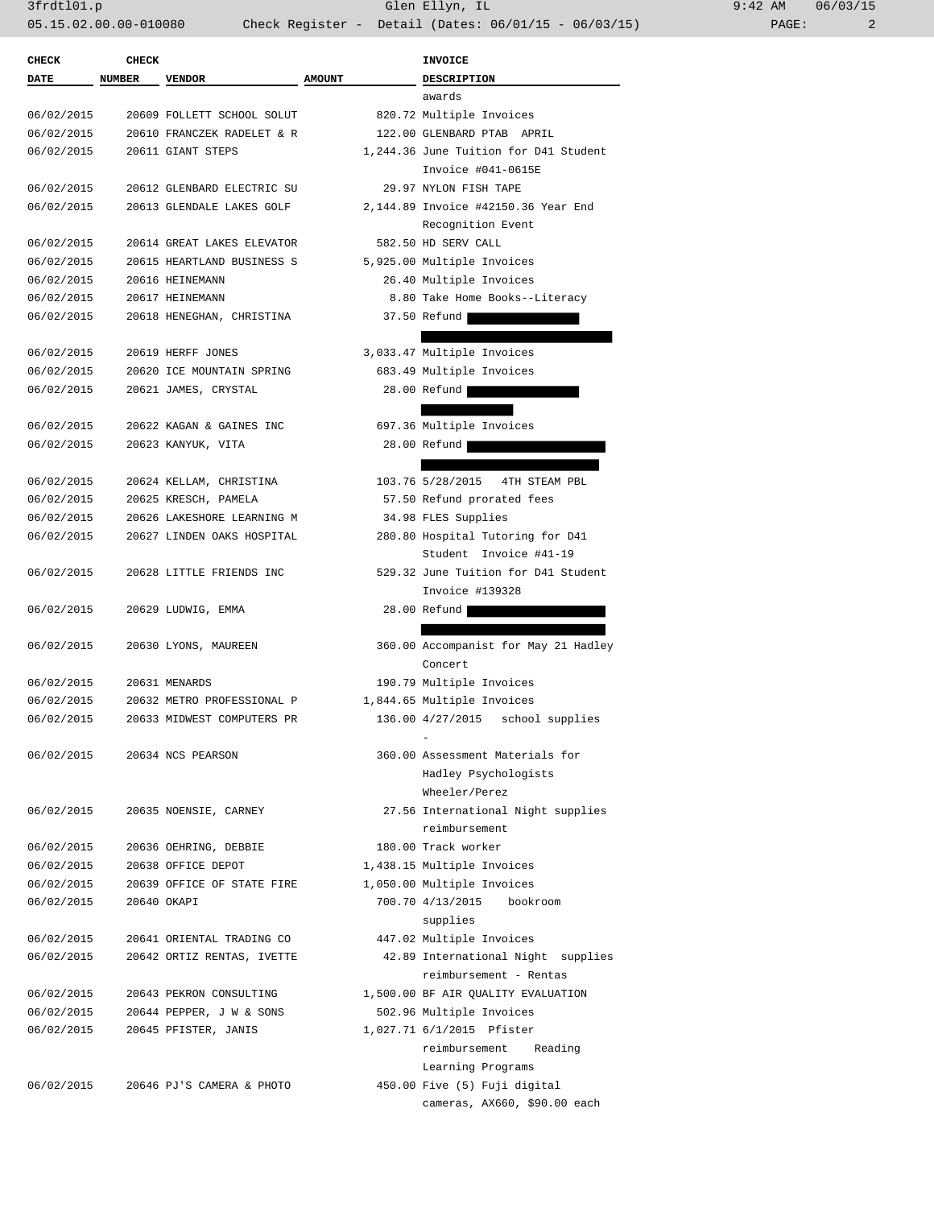| <b>CHECK</b> | <b>CHECK</b>  |                            |               | INVOICE                                                           |
|--------------|---------------|----------------------------|---------------|-------------------------------------------------------------------|
| DATE         | <b>NUMBER</b> | <b>VENDOR</b>              | <b>AMOUNT</b> | <b>DESCRIPTION</b>                                                |
|              |               |                            |               | awards                                                            |
| 06/02/2015   |               | 20609 FOLLETT SCHOOL SOLUT |               | 820.72 Multiple Invoices                                          |
| 06/02/2015   |               | 20610 FRANCZEK RADELET & R |               | 122.00 GLENBARD PTAB APRIL                                        |
| 06/02/2015   |               | 20611 GIANT STEPS          |               | 1,244.36 June Tuition for D41 Student                             |
|              |               |                            |               | Invoice #041-0615E                                                |
| 06/02/2015   |               | 20612 GLENBARD ELECTRIC SU |               | 29.97 NYLON FISH TAPE                                             |
| 06/02/2015   |               | 20613 GLENDALE LAKES GOLF  |               | 2,144.89 Invoice #42150.36 Year End                               |
|              |               |                            |               | Recognition Event                                                 |
| 06/02/2015   |               | 20614 GREAT LAKES ELEVATOR |               | 582.50 HD SERV CALL                                               |
| 06/02/2015   |               | 20615 HEARTLAND BUSINESS S |               | 5,925.00 Multiple Invoices                                        |
| 06/02/2015   |               | 20616 HEINEMANN            |               | 26.40 Multiple Invoices                                           |
| 06/02/2015   |               | 20617 HEINEMANN            |               | 8.80 Take Home Books--Literacy                                    |
| 06/02/2015   |               | 20618 HENEGHAN, CHRISTINA  |               | 37.50 Refund                                                      |
|              |               |                            |               |                                                                   |
| 06/02/2015   |               | 20619 HERFF JONES          |               | 3,033.47 Multiple Invoices                                        |
| 06/02/2015   |               | 20620 ICE MOUNTAIN SPRING  |               | 683.49 Multiple Invoices                                          |
| 06/02/2015   |               | 20621 JAMES, CRYSTAL       |               | 28.00 Refund                                                      |
|              |               |                            |               |                                                                   |
| 06/02/2015   |               | 20622 KAGAN & GAINES INC   |               | 697.36 Multiple Invoices                                          |
| 06/02/2015   |               | 20623 KANYUK, VITA         |               | 28.00 Refund                                                      |
|              |               |                            |               |                                                                   |
| 06/02/2015   |               | 20624 KELLAM, CHRISTINA    |               | 103.76 5/28/2015<br>4TH STEAM PBL                                 |
| 06/02/2015   |               | 20625 KRESCH, PAMELA       |               | 57.50 Refund prorated fees                                        |
| 06/02/2015   |               | 20626 LAKESHORE LEARNING M |               | 34.98 FLES Supplies                                               |
| 06/02/2015   |               | 20627 LINDEN OAKS HOSPITAL |               | 280.80 Hospital Tutoring for D41                                  |
|              |               |                            |               | Student Invoice #41-19                                            |
| 06/02/2015   |               | 20628 LITTLE FRIENDS INC   |               | 529.32 June Tuition for D41 Student                               |
|              |               |                            |               | Invoice #139328                                                   |
| 06/02/2015   |               | 20629 LUDWIG, EMMA         |               | 28.00 Refund                                                      |
|              |               |                            |               |                                                                   |
| 06/02/2015   |               | 20630 LYONS, MAUREEN       |               | 360.00 Accompanist for May 21 Hadley                              |
|              |               |                            |               | Concert                                                           |
| 06/02/2015   |               | 20631 MENARDS              |               | 190.79 Multiple Invoices                                          |
| 06/02/2015   |               | 20632 METRO PROFESSIONAL P |               |                                                                   |
| 06/02/2015   |               | 20633 MIDWEST COMPUTERS PR |               | 1,844.65 Multiple Invoices<br>136.00 4/27/2015<br>school supplies |
|              |               |                            |               |                                                                   |
| 06/02/2015   |               |                            |               | 360.00 Assessment Materials for                                   |
|              |               | 20634 NCS PEARSON          |               |                                                                   |
|              |               |                            |               | Hadley Psychologists                                              |
| 06/02/2015   |               |                            |               | Wheeler/Perez                                                     |
|              |               | 20635 NOENSIE, CARNEY      |               | 27.56 International Night supplies<br>reimbursement               |
| 06/02/2015   |               |                            |               | 180.00 Track worker                                               |
|              |               | 20636 OEHRING, DEBBIE      |               |                                                                   |
| 06/02/2015   |               | 20638 OFFICE DEPOT         |               | 1,438.15 Multiple Invoices                                        |
| 06/02/2015   |               | 20639 OFFICE OF STATE FIRE |               | 1,050.00 Multiple Invoices                                        |
| 06/02/2015   |               | 20640 OKAPI                |               | 700.70 4/13/2015<br>bookroom                                      |
|              |               |                            |               | supplies                                                          |
| 06/02/2015   |               | 20641 ORIENTAL TRADING CO  |               | 447.02 Multiple Invoices                                          |
| 06/02/2015   |               | 20642 ORTIZ RENTAS, IVETTE |               | 42.89 International Night supplies                                |
|              |               |                            |               | reimbursement - Rentas                                            |
| 06/02/2015   |               | 20643 PEKRON CONSULTING    |               | 1,500.00 BF AIR QUALITY EVALUATION                                |
| 06/02/2015   |               | 20644 PEPPER, J W & SONS   |               | 502.96 Multiple Invoices                                          |
| 06/02/2015   |               | 20645 PFISTER, JANIS       |               | 1,027.71 6/1/2015 Pfister                                         |
|              |               |                            |               | reimbursement<br>Reading                                          |
|              |               |                            |               | Learning Programs                                                 |
| 06/02/2015   |               | 20646 PJ'S CAMERA & PHOTO  |               | 450.00 Five (5) Fuji digital                                      |
|              |               |                            |               | cameras, AX660, \$90.00 each                                      |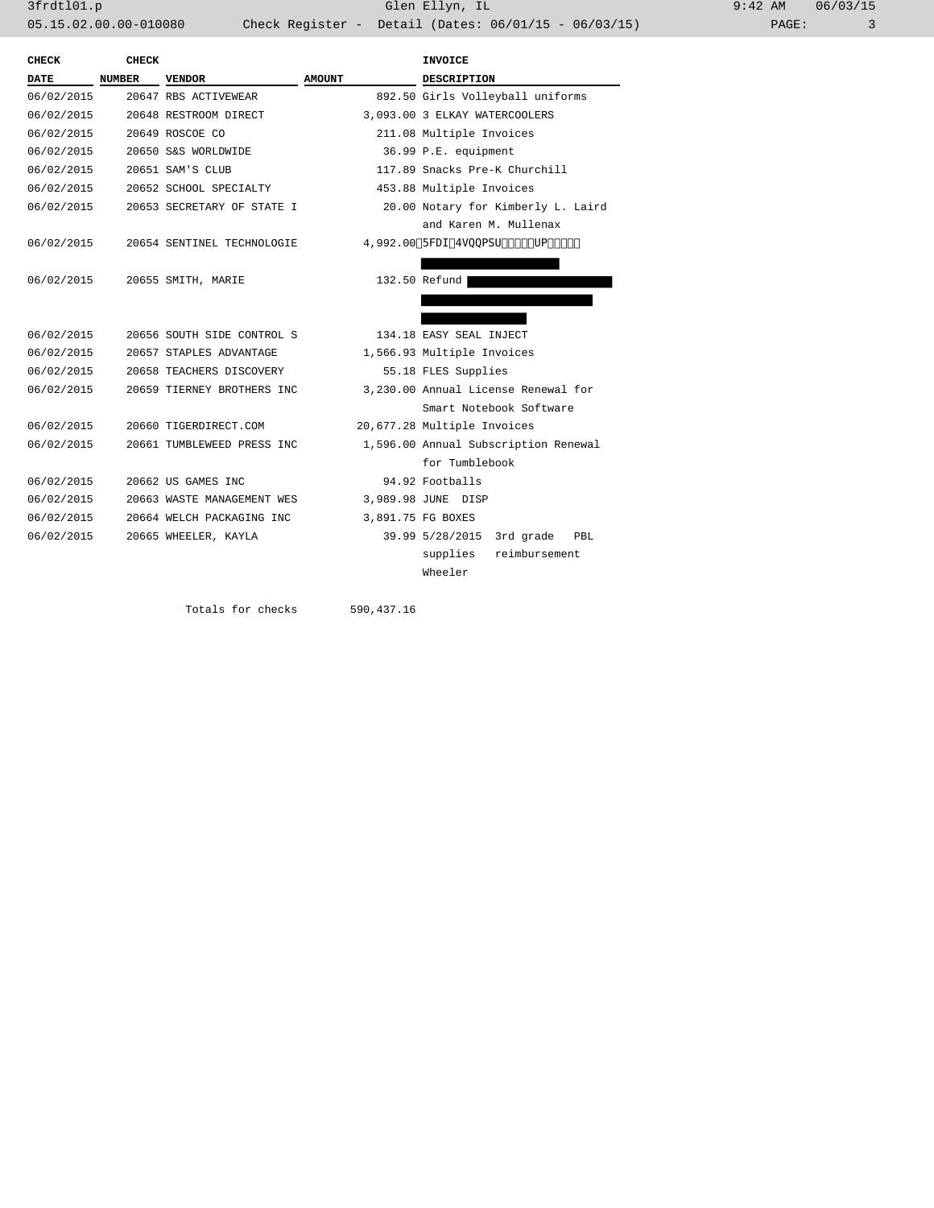3frdtl01.p Glen Ellyn, IL 9:42 AM 06/03/15 05.15.02.00.00-010080 Check Register - Detail (Dates: 06/01/15 - 06/03/15) PAGE: 3

| CHECK      | <b>CHECK</b>  |                            |               | <b>INVOICE</b>                       |  |
|------------|---------------|----------------------------|---------------|--------------------------------------|--|
| DATE       | <b>NUMBER</b> | <b>VENDOR</b>              | <b>AMOUNT</b> | <b>DESCRIPTION</b>                   |  |
| 06/02/2015 |               | 20647 RBS ACTIVEWEAR       |               | 892.50 Girls Volleyball uniforms     |  |
| 06/02/2015 |               | 20648 RESTROOM DIRECT      |               | 3,093.00 3 ELKAY WATERCOOLERS        |  |
| 06/02/2015 |               | 20649 ROSCOE CO            |               | 211.08 Multiple Invoices             |  |
| 06/02/2015 |               | 20650 S&S WORLDWIDE        |               | 36.99 P.E. equipment                 |  |
| 06/02/2015 |               | 20651 SAM'S CLUB           |               | 117.89 Snacks Pre-K Churchill        |  |
| 06/02/2015 |               | 20652 SCHOOL SPECIALTY     |               | 453.88 Multiple Invoices             |  |
| 06/02/2015 |               | 20653 SECRETARY OF STATE I |               | 20.00 Notary for Kimberly L. Laird   |  |
|            |               |                            |               | and Karen M. Mullenax                |  |
| 06/02/2015 |               | 20654 SENTINEL TECHNOLOGIE |               | 4,992.00 Tech Support 4/1 to 4/30    |  |
|            |               |                            |               |                                      |  |
| 06/02/2015 |               | 20655 SMITH, MARIE         |               | 132.50 Refund                        |  |
|            |               |                            |               |                                      |  |
|            |               |                            |               |                                      |  |
| 06/02/2015 |               | 20656 SOUTH SIDE CONTROL S |               | 134.18 EASY SEAL INJECT              |  |
| 06/02/2015 |               | 20657 STAPLES ADVANTAGE    |               | 1,566.93 Multiple Invoices           |  |
| 06/02/2015 |               | 20658 TEACHERS DISCOVERY   |               | 55.18 FLES Supplies                  |  |
| 06/02/2015 |               | 20659 TIERNEY BROTHERS INC |               | 3,230.00 Annual License Renewal for  |  |
|            |               |                            |               | Smart Notebook Software              |  |
| 06/02/2015 |               | 20660 TIGERDIRECT.COM      |               | 20,677.28 Multiple Invoices          |  |
| 06/02/2015 |               | 20661 TUMBLEWEED PRESS INC |               | 1,596.00 Annual Subscription Renewal |  |
|            |               |                            |               | for Tumblebook                       |  |
| 06/02/2015 |               | 20662 US GAMES INC         |               | 94.92 Footballs                      |  |
| 06/02/2015 |               | 20663 WASTE MANAGEMENT WES |               | 3,989.98 JUNE DISP                   |  |
| 06/02/2015 |               | 20664 WELCH PACKAGING INC  |               | 3,891.75 FG BOXES                    |  |
| 06/02/2015 |               | 20665 WHEELER, KAYLA       |               | 39.99 5/28/2015<br>3rd grade<br>PBL  |  |
|            |               |                            |               | supplies<br>reimbursement            |  |
|            |               |                            |               | Wheeler                              |  |
|            |               |                            |               |                                      |  |

Totals for checks 590,437.16